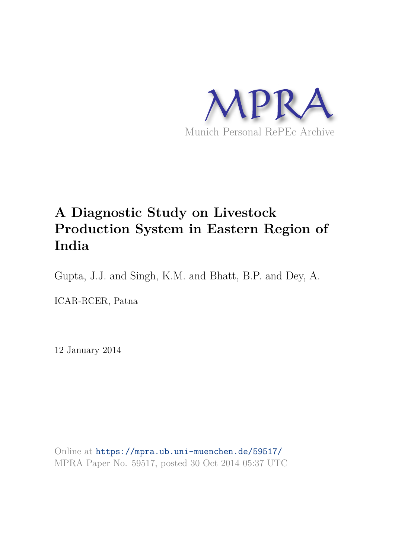

# **A Diagnostic Study on Livestock Production System in Eastern Region of India**

Gupta, J.J. and Singh, K.M. and Bhatt, B.P. and Dey, A.

ICAR-RCER, Patna

12 January 2014

Online at https://mpra.ub.uni-muenchen.de/59517/ MPRA Paper No. 59517, posted 30 Oct 2014 05:37 UTC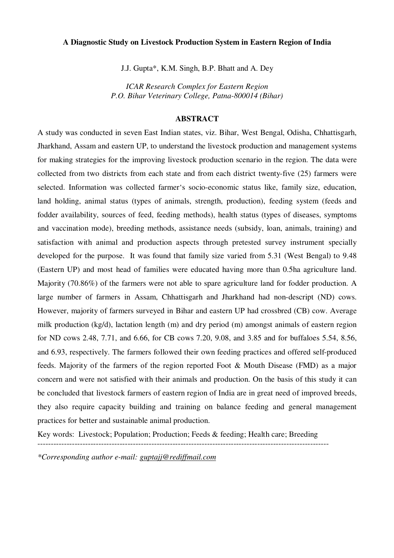# **A Diagnostic Study on Livestock Production System in Eastern Region of India**

J.J. Gupta\*, K.M. Singh, B.P. Bhatt and A. Dey

*ICAR Research Complex for Eastern Region P.O. Bihar Veterinary College, Patna-800014 (Bihar)* 

# **ABSTRACT**

A study was conducted in seven East Indian states, viz. Bihar, West Bengal, Odisha, Chhattisgarh, Jharkhand, Assam and eastern UP, to understand the livestock production and management systems for making strategies for the improving livestock production scenario in the region. The data were collected from two districts from each state and from each district twenty-five (25) farmers were selected. Information was collected farmer's socio-economic status like, family size, education, land holding, animal status (types of animals, strength, production), feeding system (feeds and fodder availability, sources of feed, feeding methods), health status (types of diseases, symptoms and vaccination mode), breeding methods, assistance needs (subsidy, loan, animals, training) and satisfaction with animal and production aspects through pretested survey instrument specially developed for the purpose. It was found that family size varied from 5.31 (West Bengal) to 9.48 (Eastern UP) and most head of families were educated having more than 0.5ha agriculture land. Majority (70.86%) of the farmers were not able to spare agriculture land for fodder production. A large number of farmers in Assam, Chhattisgarh and Jharkhand had non-descript (ND) cows. However, majority of farmers surveyed in Bihar and eastern UP had crossbred (CB) cow. Average milk production (kg/d), lactation length (m) and dry period (m) amongst animals of eastern region for ND cows 2.48, 7.71, and 6.66, for CB cows 7.20, 9.08, and 3.85 and for buffaloes 5.54, 8.56, and 6.93, respectively. The farmers followed their own feeding practices and offered self-produced feeds. Majority of the farmers of the region reported Foot & Mouth Disease (FMD) as a major concern and were not satisfied with their animals and production. On the basis of this study it can be concluded that livestock farmers of eastern region of India are in great need of improved breeds, they also require capacity building and training on balance feeding and general management practices for better and sustainable animal production.

Key words: Livestock; Population; Production; Feeds & feeding; Health care; Breeding

--------------------------------------------------------------------------------------------------------------

*\*Corresponding author e-mail: guptajj@rediffmail.com*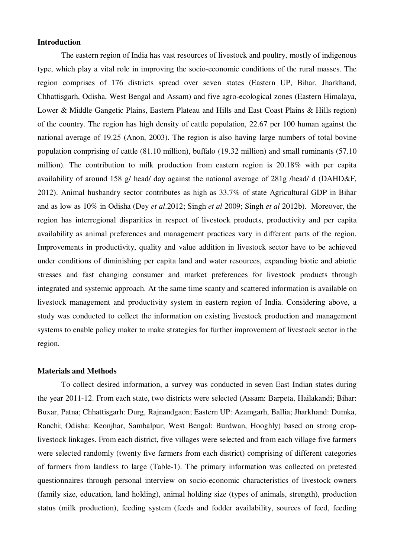# **Introduction**

The eastern region of India has vast resources of livestock and poultry, mostly of indigenous type, which play a vital role in improving the socio-economic conditions of the rural masses. The region comprises of 176 districts spread over seven states (Eastern UP, Bihar, Jharkhand, Chhattisgarh, Odisha, West Bengal and Assam) and five agro-ecological zones (Eastern Himalaya, Lower & Middle Gangetic Plains, Eastern Plateau and Hills and East Coast Plains & Hills region) of the country. The region has high density of cattle population, 22.67 per 100 human against the national average of 19.25 (Anon, 2003). The region is also having large numbers of total bovine population comprising of cattle (81.10 million), buffalo (19.32 million) and small ruminants (57.10 million). The contribution to milk production from eastern region is 20.18% with per capita availability of around 158 g/ head/ day against the national average of 281g /head/ d (DAHD&F, 2012). Animal husbandry sector contributes as high as 33.7% of state Agricultural GDP in Bihar and as low as 10% in Odisha (Dey *et al*.2012; Singh *et al* 2009; Singh *et al* 2012b). Moreover, the region has interregional disparities in respect of livestock products, productivity and per capita availability as animal preferences and management practices vary in different parts of the region. Improvements in productivity, quality and value addition in livestock sector have to be achieved under conditions of diminishing per capita land and water resources, expanding biotic and abiotic stresses and fast changing consumer and market preferences for livestock products through integrated and systemic approach. At the same time scanty and scattered information is available on livestock management and productivity system in eastern region of India. Considering above, a study was conducted to collect the information on existing livestock production and management systems to enable policy maker to make strategies for further improvement of livestock sector in the region.

#### **Materials and Methods**

To collect desired information, a survey was conducted in seven East Indian states during the year 2011-12. From each state, two districts were selected (Assam: Barpeta, Hailakandi; Bihar: Buxar, Patna; Chhattisgarh: Durg, Rajnandgaon; Eastern UP: Azamgarh, Ballia; Jharkhand: Dumka, Ranchi; Odisha: Keonjhar, Sambalpur; West Bengal: Burdwan, Hooghly) based on strong croplivestock linkages. From each district, five villages were selected and from each village five farmers were selected randomly (twenty five farmers from each district) comprising of different categories of farmers from landless to large (Table-1). The primary information was collected on pretested questionnaires through personal interview on socio-economic characteristics of livestock owners (family size, education, land holding), animal holding size (types of animals, strength), production status (milk production), feeding system (feeds and fodder availability, sources of feed, feeding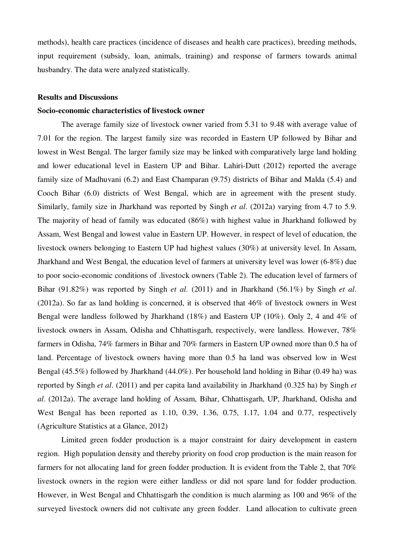methods), health care practices (incidence of diseases and health care practices), breeding methods, input requirement (subsidy, loan, animals, training) and response of farmers towards animal husbandry. The data were analyzed statistically.

## **Results and Discussions**

#### **Socio-economic characteristics of livestock owner**

The average family size of livestock owner varied from 5.31 to 9.48 with average value of 7.01 for the region. The largest family size was recorded in Eastern UP followed by Bihar and lowest in West Bengal. The larger family size may be linked with comparatively large land holding and lower educational level in Eastern UP and Bihar. Lahiri-Dutt (2012) reported the average family size of Madhuvani (6.2) and East Champaran (9.75) districts of Bihar and Malda (5.4) and Cooch Bihar (6.0) districts of West Bengal, which are in agreement with the present study. Similarly, family size in Jharkhand was reported by Singh *et al*. (2012a) varying from 4.7 to 5.9. The majority of head of family was educated (86%) with highest value in Jharkhand followed by Assam, West Bengal and lowest value in Eastern UP. However, in respect of level of education, the livestock owners belonging to Eastern UP had highest values (30%) at university level. In Assam, Jharkhand and West Bengal, the education level of farmers at university level was lower (6-8%) due to poor socio-economic conditions of .livestock owners (Table 2). The education level of farmers of Bihar (91.82%) was reported by Singh *et al*. (2011) and in Jharkhand (56.1%) by Singh *et al*. (2012a). So far as land holding is concerned, it is observed that 46% of livestock owners in West Bengal were landless followed by Jharkhand (18%) and Eastern UP (10%). Only 2, 4 and 4% of livestock owners in Assam, Odisha and Chhattisgarh, respectively, were landless. However, 78% farmers in Odisha, 74% farmers in Bihar and 70% farmers in Eastern UP owned more than 0.5 ha of land. Percentage of livestock owners having more than 0.5 ha land was observed low in West Bengal (45.5%) followed by Jharkhand (44.0%). Per household land holding in Bihar (0.49 ha) was reported by Singh *et al*. (2011) and per capita land availability in Jharkhand (0.325 ha) by Singh *et al*. (2012a). The average land holding of Assam, Bihar, Chhattisgarh, UP, Jharkhand, Odisha and West Bengal has been reported as 1.10, 0.39, 1.36, 0.75, 1.17, 1.04 and 0.77, respectively (Agriculture Statistics at a Glance, 2012)

Limited green fodder production is a major constraint for dairy development in eastern region. High population density and thereby priority on food crop production is the main reason for farmers for not allocating land for green fodder production. It is evident from the Table 2, that 70% livestock owners in the region were either landless or did not spare land for fodder production. However, in West Bengal and Chhattisgarh the condition is much alarming as 100 and 96% of the surveyed livestock owners did not cultivate any green fodder. Land allocation to cultivate green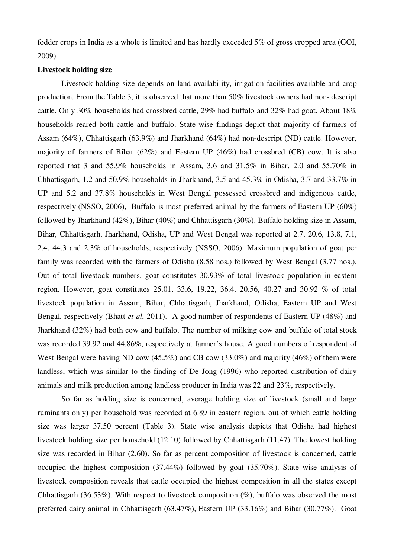fodder crops in India as a whole is limited and has hardly exceeded 5% of gross cropped area (GOI, 2009).

# **Livestock holding size**

Livestock holding size depends on land availability, irrigation facilities available and crop production. From the Table 3, it is observed that more than 50% livestock owners had non- descript cattle. Only 30% households had crossbred cattle, 29% had buffalo and 32% had goat. About 18% households reared both cattle and buffalo. State wise findings depict that majority of farmers of Assam (64%), Chhattisgarh (63.9%) and Jharkhand (64%) had non-descript (ND) cattle. However, majority of farmers of Bihar (62%) and Eastern UP (46%) had crossbred (CB) cow. It is also reported that 3 and 55.9% households in Assam, 3.6 and 31.5% in Bihar, 2.0 and 55.70% in Chhattisgarh, 1.2 and 50.9% households in Jharkhand, 3.5 and 45.3% in Odisha, 3.7 and 33.7% in UP and 5.2 and 37.8% households in West Bengal possessed crossbred and indigenous cattle, respectively (NSSO, 2006), Buffalo is most preferred animal by the farmers of Eastern UP (60%) followed by Jharkhand (42%), Bihar (40%) and Chhattisgarh (30%). Buffalo holding size in Assam, Bihar, Chhattisgarh, Jharkhand, Odisha, UP and West Bengal was reported at 2.7, 20.6, 13.8, 7.1, 2.4, 44.3 and 2.3% of households, respectively (NSSO, 2006). Maximum population of goat per family was recorded with the farmers of Odisha (8.58 nos.) followed by West Bengal (3.77 nos.). Out of total livestock numbers, goat constitutes 30.93% of total livestock population in eastern region. However, goat constitutes 25.01, 33.6, 19.22, 36.4, 20.56, 40.27 and 30.92 % of total livestock population in Assam, Bihar, Chhattisgarh, Jharkhand, Odisha, Eastern UP and West Bengal, respectively (Bhatt *et al*, 2011). A good number of respondents of Eastern UP (48%) and Jharkhand (32%) had both cow and buffalo. The number of milking cow and buffalo of total stock was recorded 39.92 and 44.86%, respectively at farmer's house. A good numbers of respondent of West Bengal were having ND cow (45.5%) and CB cow (33.0%) and majority (46%) of them were landless, which was similar to the finding of De Jong (1996) who reported distribution of dairy animals and milk production among landless producer in India was 22 and 23%, respectively.

So far as holding size is concerned, average holding size of livestock (small and large ruminants only) per household was recorded at 6.89 in eastern region, out of which cattle holding size was larger 37.50 percent (Table 3). State wise analysis depicts that Odisha had highest livestock holding size per household (12.10) followed by Chhattisgarh (11.47). The lowest holding size was recorded in Bihar (2.60). So far as percent composition of livestock is concerned, cattle occupied the highest composition (37.44%) followed by goat (35.70%). State wise analysis of livestock composition reveals that cattle occupied the highest composition in all the states except Chhattisgarh (36.53%). With respect to livestock composition  $(\%)$ , buffalo was observed the most preferred dairy animal in Chhattisgarh (63.47%), Eastern UP (33.16%) and Bihar (30.77%). Goat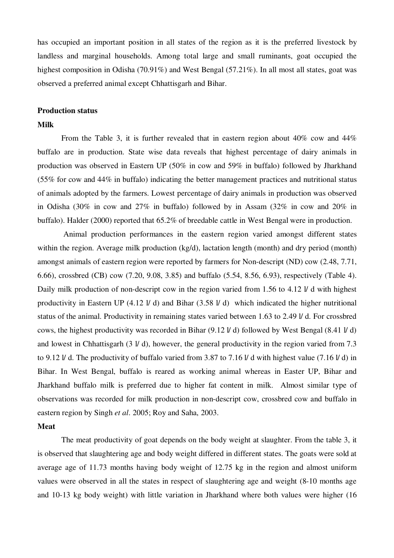has occupied an important position in all states of the region as it is the preferred livestock by landless and marginal households. Among total large and small ruminants, goat occupied the highest composition in Odisha (70.91%) and West Bengal (57.21%). In all most all states, goat was observed a preferred animal except Chhattisgarh and Bihar.

#### **Production status**

## **Milk**

From the Table 3, it is further revealed that in eastern region about 40% cow and 44% buffalo are in production. State wise data reveals that highest percentage of dairy animals in production was observed in Eastern UP (50% in cow and 59% in buffalo) followed by Jharkhand (55% for cow and 44% in buffalo) indicating the better management practices and nutritional status of animals adopted by the farmers. Lowest percentage of dairy animals in production was observed in Odisha (30% in cow and 27% in buffalo) followed by in Assam (32% in cow and 20% in buffalo). Halder (2000) reported that 65.2% of breedable cattle in West Bengal were in production.

 Animal production performances in the eastern region varied amongst different states within the region. Average milk production (kg/d), lactation length (month) and dry period (month) amongst animals of eastern region were reported by farmers for Non-descript (ND) cow (2.48, 7.71, 6.66), crossbred (CB) cow (7.20, 9.08, 3.85) and buffalo (5.54, 8.56, 6.93), respectively (Table 4). Daily milk production of non-descript cow in the region varied from 1.56 to 4.12  $\dot{V}$  d with highest productivity in Eastern UP (4.12 l/ d) and Bihar (3.58 l/ d) which indicated the higher nutritional status of the animal. Productivity in remaining states varied between 1.63 to 2.49 l/ d. For crossbred cows, the highest productivity was recorded in Bihar (9.12 l/ d) followed by West Bengal (8.41 l/ d) and lowest in Chhattisgarh (3 l/ d), however, the general productivity in the region varied from 7.3 to 9.12 l/ d. The productivity of buffalo varied from 3.87 to 7.16 l/ d with highest value (7.16 l/ d) in Bihar. In West Bengal, buffalo is reared as working animal whereas in Easter UP, Bihar and Jharkhand buffalo milk is preferred due to higher fat content in milk. Almost similar type of observations was recorded for milk production in non-descript cow, crossbred cow and buffalo in eastern region by Singh *et al*. 2005; Roy and Saha, 2003.

#### **Meat**

The meat productivity of goat depends on the body weight at slaughter. From the table 3, it is observed that slaughtering age and body weight differed in different states. The goats were sold at average age of 11.73 months having body weight of 12.75 kg in the region and almost uniform values were observed in all the states in respect of slaughtering age and weight (8-10 months age and 10-13 kg body weight) with little variation in Jharkhand where both values were higher (16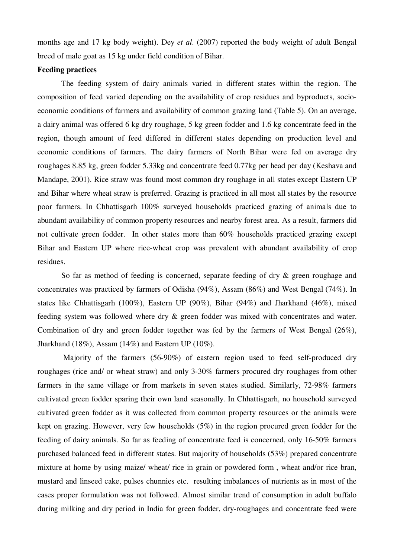months age and 17 kg body weight). Dey *et al*. (2007) reported the body weight of adult Bengal breed of male goat as 15 kg under field condition of Bihar.

# **Feeding practices**

The feeding system of dairy animals varied in different states within the region. The composition of feed varied depending on the availability of crop residues and byproducts, socioeconomic conditions of farmers and availability of common grazing land (Table 5). On an average, a dairy animal was offered 6 kg dry roughage, 5 kg green fodder and 1.6 kg concentrate feed in the region, though amount of feed differed in different states depending on production level and economic conditions of farmers. The dairy farmers of North Bihar were fed on average dry roughages 8.85 kg, green fodder 5.33kg and concentrate feed 0.77kg per head per day (Keshava and Mandape, 2001). Rice straw was found most common dry roughage in all states except Eastern UP and Bihar where wheat straw is preferred. Grazing is practiced in all most all states by the resource poor farmers. In Chhattisgarh 100% surveyed households practiced grazing of animals due to abundant availability of common property resources and nearby forest area. As a result, farmers did not cultivate green fodder. In other states more than 60% households practiced grazing except Bihar and Eastern UP where rice-wheat crop was prevalent with abundant availability of crop residues.

So far as method of feeding is concerned, separate feeding of dry & green roughage and concentrates was practiced by farmers of Odisha (94%), Assam (86%) and West Bengal (74%). In states like Chhattisgarh (100%), Eastern UP (90%), Bihar (94%) and Jharkhand (46%), mixed feeding system was followed where dry & green fodder was mixed with concentrates and water. Combination of dry and green fodder together was fed by the farmers of West Bengal (26%), Jharkhand (18%), Assam (14%) and Eastern UP (10%).

 Majority of the farmers (56-90%) of eastern region used to feed self-produced dry roughages (rice and/ or wheat straw) and only 3-30% farmers procured dry roughages from other farmers in the same village or from markets in seven states studied. Similarly, 72-98% farmers cultivated green fodder sparing their own land seasonally. In Chhattisgarh, no household surveyed cultivated green fodder as it was collected from common property resources or the animals were kept on grazing. However, very few households (5%) in the region procured green fodder for the feeding of dairy animals. So far as feeding of concentrate feed is concerned, only 16-50% farmers purchased balanced feed in different states. But majority of households (53%) prepared concentrate mixture at home by using maize/ wheat/ rice in grain or powdered form , wheat and/or rice bran, mustard and linseed cake, pulses chunnies etc. resulting imbalances of nutrients as in most of the cases proper formulation was not followed. Almost similar trend of consumption in adult buffalo during milking and dry period in India for green fodder, dry-roughages and concentrate feed were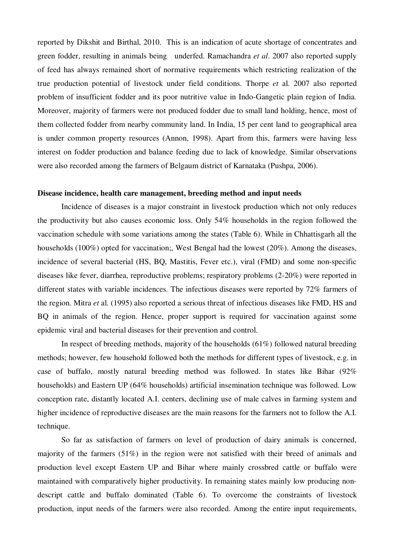reported by Dikshit and Birthal, 2010. This is an indication of acute shortage of concentrates and green fodder, resulting in animals being underfed. Ramachandra *et al*. 2007 also reported supply of feed has always remained short of normative requirements which restricting realization of the true production potential of livestock under field conditions. Thorpe *et* al. 2007 also reported problem of insufficient fodder and its poor nutritive value in Indo-Gangetic plain region of India. Moreover, majority of farmers were not produced fodder due to small land holding, hence, most of them collected fodder from nearby community land. In India, 15 per cent land to geographical area is under common property resources (Annon, 1998). Apart from this, farmers were having less interest on fodder production and balance feeding due to lack of knowledge. Similar observations were also recorded among the farmers of Belgaum district of Karnataka (Pushpa, 2006).

## **Disease incidence, health care management, breeding method and input needs**

Incidence of diseases is a major constraint in livestock production which not only reduces the productivity but also causes economic loss. Only 54% households in the region followed the vaccination schedule with some variations among the states (Table 6). While in Chhattisgarh all the households (100%) opted for vaccination;, West Bengal had the lowest (20%). Among the diseases, incidence of several bacterial (HS, BQ, Mastitis, Fever etc.), viral (FMD) and some non-specific diseases like fever, diarrhea, reproductive problems; respiratory problems (2-20%) were reported in different states with variable incidences. The infectious diseases were reported by 72% farmers of the region. Mitra *et* al. (1995) also reported a serious threat of infectious diseases like FMD, HS and BQ in animals of the region. Hence, proper support is required for vaccination against some epidemic viral and bacterial diseases for their prevention and control.

In respect of breeding methods, majority of the households (61%) followed natural breeding methods; however, few household followed both the methods for different types of livestock, e.g. in case of buffalo, mostly natural breeding method was followed. In states like Bihar (92% households) and Eastern UP (64% households) artificial insemination technique was followed. Low conception rate, distantly located A.I. centers, declining use of male calves in farming system and higher incidence of reproductive diseases are the main reasons for the farmers not to follow the A.I. technique.

So far as satisfaction of farmers on level of production of dairy animals is concerned, majority of the farmers (51%) in the region were not satisfied with their breed of animals and production level except Eastern UP and Bihar where mainly crossbred cattle or buffalo were maintained with comparatively higher productivity. In remaining states mainly low producing nondescript cattle and buffalo dominated (Table 6). To overcome the constraints of livestock production, input needs of the farmers were also recorded. Among the entire input requirements,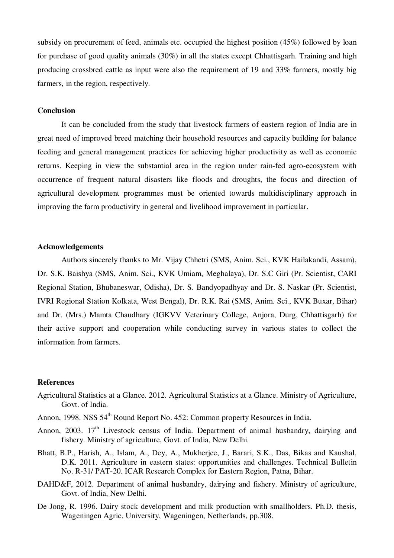subsidy on procurement of feed, animals etc. occupied the highest position (45%) followed by loan for purchase of good quality animals (30%) in all the states except Chhattisgarh. Training and high producing crossbred cattle as input were also the requirement of 19 and 33% farmers, mostly big farmers, in the region, respectively.

# **Conclusion**

It can be concluded from the study that livestock farmers of eastern region of India are in great need of improved breed matching their household resources and capacity building for balance feeding and general management practices for achieving higher productivity as well as economic returns. Keeping in view the substantial area in the region under rain-fed agro-ecosystem with occurrence of frequent natural disasters like floods and droughts, the focus and direction of agricultural development programmes must be oriented towards multidisciplinary approach in improving the farm productivity in general and livelihood improvement in particular.

## **Acknowledgements**

Authors sincerely thanks to Mr. Vijay Chhetri (SMS, Anim. Sci., KVK Hailakandi, Assam), Dr. S.K. Baishya (SMS, Anim. Sci., KVK Umiam, Meghalaya), Dr. S.C Giri (Pr. Scientist, CARI Regional Station, Bhubaneswar, Odisha), Dr. S. Bandyopadhyay and Dr. S. Naskar (Pr. Scientist, IVRI Regional Station Kolkata, West Bengal), Dr. R.K. Rai (SMS, Anim. Sci., KVK Buxar, Bihar) and Dr. (Mrs.) Mamta Chaudhary (IGKVV Veterinary College, Anjora, Durg, Chhattisgarh) for their active support and cooperation while conducting survey in various states to collect the information from farmers.

## **References**

- Agricultural Statistics at a Glance. 2012. Agricultural Statistics at a Glance. Ministry of Agriculture, Govt. of India.
- Annon, 1998. NSS 54<sup>th</sup> Round Report No. 452: Common property Resources in India.
- Annon, 2003. 17<sup>th</sup> Livestock census of India. Department of animal husbandry, dairying and fishery. Ministry of agriculture, Govt. of India, New Delhi.
- Bhatt, B.P., Harish, A., Islam, A., Dey, A., Mukherjee, J., Barari, S.K., Das, Bikas and Kaushal, D.K. 2011. Agriculture in eastern states: opportunities and challenges. Technical Bulletin No. R-31/ PAT-20. ICAR Research Complex for Eastern Region, Patna, Bihar.
- DAHD&F, 2012. Department of animal husbandry, dairying and fishery. Ministry of agriculture, Govt. of India, New Delhi.
- De Jong, R. 1996. Dairy stock development and milk production with smallholders. Ph.D. thesis, Wageningen Agric. University, Wageningen, Netherlands, pp.308.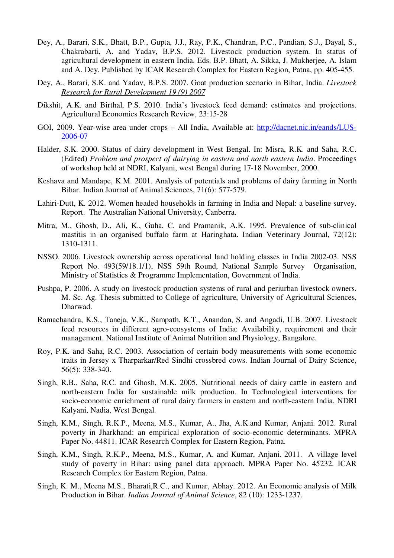- Dey, A., Barari, S.K., Bhatt, B.P., Gupta, J.J., Ray, P.K., Chandran, P.C., Pandian, S.J., Dayal, S., Chakrabarti, A. and Yadav, B.P.S. 2012. Livestock production system. In status of agricultural development in eastern India. Eds. B.P. Bhatt, A. Sikka, J. Mukherjee, A. Islam and A. Dey. Published by ICAR Research Complex for Eastern Region, Patna, pp. 405-455.
- Dey, A., Barari, S.K. and Yadav, B.P.S. 2007. Goat production scenario in Bihar, India. *Livestock Research for Rural Development 19 (9) 2007*
- Dikshit, A.K. and Birthal, P.S. 2010. India's livestock feed demand: estimates and projections. Agricultural Economics Research Review, 23:15-28
- GOI, 2009. Year-wise area under crops All India, Available at: http://dacnet.nic.in/eands/LUS-2006-07
- Halder, S.K. 2000. Status of dairy development in West Bengal. In: Misra, R.K. and Saha, R.C. (Edited) *Problem and prospect of dairying in eastern and north eastern India*. Proceedings of workshop held at NDRI, Kalyani, west Bengal during 17-18 November, 2000.
- Keshava and Mandape, K.M. 2001. Analysis of potentials and problems of dairy farming in North Bihar. Indian Journal of Animal Sciences, 71(6): 577-579.
- Lahiri-Dutt, K. 2012. Women headed households in farming in India and Nepal: a baseline survey. Report. The Australian National University, Canberra.
- Mitra, M., Ghosh, D., Ali, K., Guha, C. and Pramanik, A.K. 1995. Prevalence of sub-clinical mastitis in an organised buffalo farm at Haringhata. Indian Veterinary Journal, 72(12): 1310-1311.
- NSSO. 2006. Livestock ownership across operational land holding classes in India 2002-03. NSS Report No. 493(59/18.1/1), NSS 59th Round, National Sample Survey Organisation, Ministry of Statistics & Programme Implementation, Government of India.
- Pushpa, P. 2006. A study on livestock production systems of rural and periurban livestock owners. M. Sc. Ag. Thesis submitted to College of agriculture, University of Agricultural Sciences, Dharwad.
- Ramachandra, K.S., Taneja, V.K., Sampath, K.T., Anandan, S. and Angadi, U.B. 2007. Livestock feed resources in different agro-ecosystems of India: Availability, requirement and their management. National Institute of Animal Nutrition and Physiology, Bangalore.
- Roy, P.K. and Saha, R.C. 2003. Association of certain body measurements with some economic traits in Jersey x Tharparkar/Red Sindhi crossbred cows. Indian Journal of Dairy Science, 56(5): 338-340.
- Singh, R.B., Saha, R.C. and Ghosh, M.K. 2005. Nutritional needs of dairy cattle in eastern and north-eastern India for sustainable milk production. In Technological interventions for socio-economic enrichment of rural dairy farmers in eastern and north-eastern India, NDRI Kalyani, Nadia, West Bengal.
- Singh, K.M., Singh, R.K.P., Meena, M.S., Kumar, A., Jha, A.K.and Kumar, Anjani. 2012. Rural poverty in Jharkhand: an empirical exploration of socio-economic determinants. MPRA Paper No. 44811. ICAR Research Complex for Eastern Region, Patna.
- Singh, K.M., Singh, R.K.P., Meena, M.S., Kumar, A. and Kumar, Anjani. 2011. A village level study of poverty in Bihar: using panel data approach. MPRA Paper No. 45232. ICAR Research Complex for Eastern Region, Patna.
- Singh, K. M., Meena M.S., Bharati,R.C., and Kumar, Abhay. 2012. An Economic analysis of Milk Production in Bihar. *Indian Journal of Animal Science*, 82 (10): 1233-1237.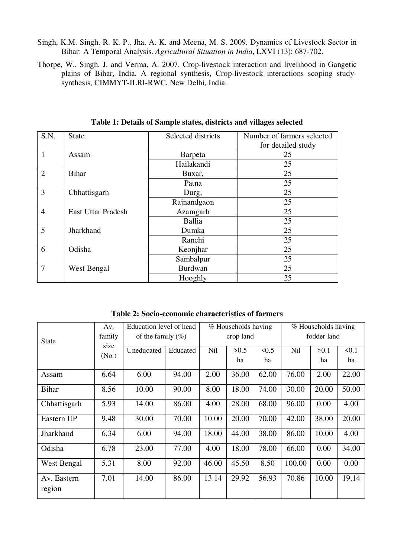- Singh, K.M. Singh, R. K. P., Jha, A. K. and Meena, M. S. 2009. Dynamics of Livestock Sector in Bihar: A Temporal Analysis. *Agricultural Situation in India*, LXVI (13): 687-702.
- Thorpe, W., Singh, J. and Verma, A. 2007. Crop-livestock interaction and livelihood in Gangetic plains of Bihar, India. A regional synthesis, Crop-livestock interactions scoping studysynthesis, CIMMYT-ILRI-RWC, New Delhi, India.

| S.N.           | <b>State</b>              | Selected districts | Number of farmers selected |
|----------------|---------------------------|--------------------|----------------------------|
|                |                           |                    | for detailed study         |
| $\mathbf{1}$   | Assam                     | Barpeta            | 25                         |
|                |                           | Hailakandi         | 25                         |
| $\overline{2}$ | <b>Bihar</b>              | Buxar,             | 25                         |
|                |                           | Patna              | 25                         |
| 3              | Chhattisgarh              | Durg,              | 25                         |
|                |                           | Rajnandgaon        | 25                         |
| $\overline{4}$ | <b>East Uttar Pradesh</b> | Azamgarh           | 25                         |
|                |                           | Ballia             | 25                         |
| 5              | Jharkhand                 | Dumka              | 25                         |
|                |                           | Ranchi             | 25                         |
| 6              | Odisha                    | Keonjhar           | 25                         |
|                |                           | Sambalpur          | 25                         |
| $\overline{7}$ | West Bengal               | <b>Burdwan</b>     | 25                         |
|                |                           | Hooghly            | 25                         |

**Table 1: Details of Sample states, districts and villages selected** 

**Table 2: Socio-economic characteristics of farmers** 

| <b>State</b>          | Av.<br>family | Education level of head<br>of the family $(\% )$ |          | % Households having<br>crop land |            | % Households having<br>fodder land |        |            |            |
|-----------------------|---------------|--------------------------------------------------|----------|----------------------------------|------------|------------------------------------|--------|------------|------------|
|                       | size<br>(No.) | Uneducated                                       | Educated | Nil                              | >0.5<br>ha | 5<br>ha                            | Nil    | >0.1<br>ha | 50.1<br>ha |
| Assam                 | 6.64          | 6.00                                             | 94.00    | 2.00                             | 36.00      | 62.00                              | 76.00  | 2.00       | 22.00      |
| <b>Bihar</b>          | 8.56          | 10.00                                            | 90.00    | 8.00                             | 18.00      | 74.00                              | 30.00  | 20.00      | 50.00      |
| Chhattisgarh          | 5.93          | 14.00                                            | 86.00    | 4.00                             | 28.00      | 68.00                              | 96.00  | 0.00       | 4.00       |
| Eastern UP            | 9.48          | 30.00                                            | 70.00    | 10.00                            | 20.00      | 70.00                              | 42.00  | 38.00      | 20.00      |
| Jharkhand             | 6.34          | 6.00                                             | 94.00    | 18.00                            | 44.00      | 38.00                              | 86.00  | 10.00      | 4.00       |
| Odisha                | 6.78          | 23.00                                            | 77.00    | 4.00                             | 18.00      | 78.00                              | 66.00  | 0.00       | 34.00      |
| West Bengal           | 5.31          | 8.00                                             | 92.00    | 46.00                            | 45.50      | 8.50                               | 100.00 | 0.00       | 0.00       |
| Av. Eastern<br>region | 7.01          | 14.00                                            | 86.00    | 13.14                            | 29.92      | 56.93                              | 70.86  | 10.00      | 19.14      |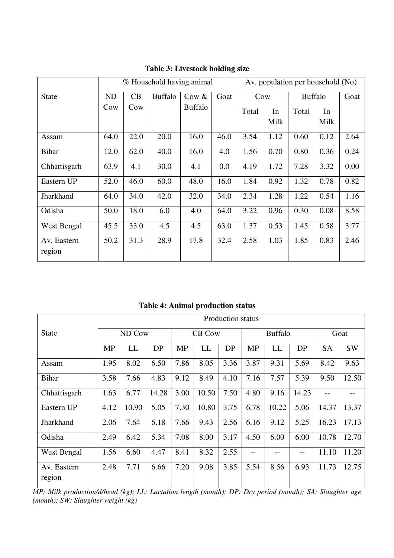|                       |                      |      |                | % Household having animal | Av. population per household (No) |       |      |                |      |      |  |
|-----------------------|----------------------|------|----------------|---------------------------|-----------------------------------|-------|------|----------------|------|------|--|
| <b>State</b>          | CB<br>N <sub>D</sub> |      | <b>Buffalo</b> | Cow $&$                   | Goat                              |       | Cow  | <b>Buffalo</b> | Goat |      |  |
|                       | Cow                  | Cow  |                | <b>Buffalo</b>            |                                   | Total | In   | Total          | In   |      |  |
|                       |                      |      |                |                           |                                   |       | Milk |                | Milk |      |  |
| Assam                 | 64.0                 | 22.0 | 20.0           | 16.0                      | 46.0                              | 3.54  | 1.12 | 0.60           | 0.12 | 2.64 |  |
| <b>Bihar</b>          | 12.0                 | 62.0 | 40.0           | 16.0                      | 4.0                               | 1.56  | 0.70 | 0.80           | 0.36 | 0.24 |  |
| Chhattisgarh          | 63.9                 | 4.1  | 30.0           | 4.1                       | 0.0                               | 4.19  | 1.72 | 7.28           | 3.32 | 0.00 |  |
| Eastern UP            | 52.0                 | 46.0 | 60.0           | 48.0                      | 16.0                              | 1.84  | 0.92 | 1.32           | 0.78 | 0.82 |  |
| Jharkhand             | 64.0                 | 34.0 | 42.0           | 32.0                      | 34.0                              | 2.34  | 1.28 | 1.22           | 0.54 | 1.16 |  |
| Odisha                | 50.0                 | 18.0 | 6.0            | 4.0                       | 64.0                              | 3.22  | 0.96 | 0.30           | 0.08 | 8.58 |  |
| West Bengal           | 45.5                 | 33.0 | 4.5            | 4.5                       | 63.0                              | 1.37  | 0.53 | 1.45           | 0.58 | 3.77 |  |
| Av. Eastern<br>region | 50.2                 | 31.3 | 28.9           | 17.8                      | 32.4                              | 2.58  | 1.03 | 1.85           | 0.83 | 2.46 |  |

**Table 3: Livestock holding size** 

**Table 4: Animal production status** 

|                       | <b>Production status</b> |        |       |               |       |      |           |                |       |           |           |
|-----------------------|--------------------------|--------|-------|---------------|-------|------|-----------|----------------|-------|-----------|-----------|
| <b>State</b>          |                          | ND Cow |       | <b>CB Cow</b> |       |      |           | <b>Buffalo</b> | Goat  |           |           |
|                       | <b>MP</b>                | LL     | DP    | <b>MP</b>     | LL    | DP   | <b>MP</b> | LL             | DP    | <b>SA</b> | <b>SW</b> |
| Assam                 | 1.95                     | 8.02   | 6.50  | 7.86          | 8.05  | 3.36 | 3.87      | 9.31           | 5.69  | 8.42      | 9.63      |
| <b>Bihar</b>          | 3.58                     | 7.66   | 4.83  | 9.12          | 8.49  | 4.10 | 7.16      | 7.57           | 5.39  | 9.50      | 12.50     |
| Chhattisgarh          | 1.63                     | 6.77   | 14.28 | 3.00          | 10.50 | 7.50 | 4.80      | 9.16           | 14.23 |           |           |
| Eastern UP            | 4.12                     | 10.90  | 5.05  | 7.30          | 10.80 | 3.75 | 6.78      | 10.22          | 5.06  | 14.37     | 13.37     |
| Jharkhand             | 2.06                     | 7.64   | 6.18  | 7.66          | 9.43  | 2.56 | 6.16      | 9.12           | 5.25  | 16.23     | 17.13     |
| Odisha                | 2.49                     | 6.42   | 5.34  | 7.08          | 8.00  | 3.17 | 4.50      | 6.00           | 6.00  | 10.78     | 12.70     |
| West Bengal           | 1.56                     | 6.60   | 4.47  | 8.41          | 8.32  | 2.55 | --        |                | --    | 11.10     | 11.20     |
| Av. Eastern<br>region | 2.48                     | 7.71   | 6.66  | 7.20          | 9.08  | 3.85 | 5.54      | 8.56           | 6.93  | 11.73     | 12.75     |

*MP: Milk production/d/head (kg); LL: Lactation length (month); DP: Dry period (month); SA: Slaughter age (month); SW: Slaughter weight (kg)*